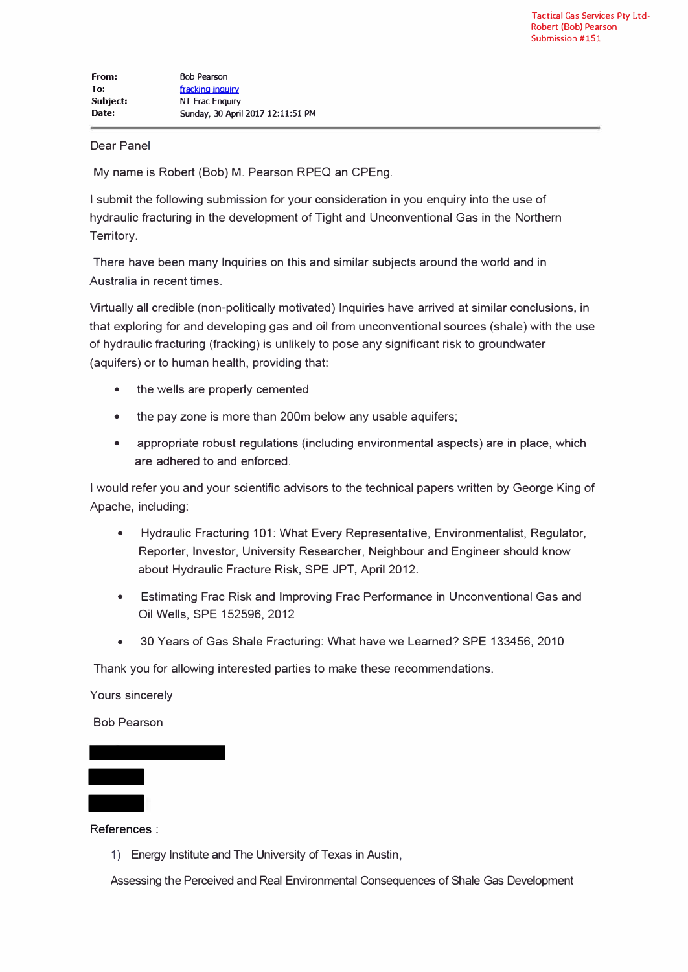## Dear Panel

My name is Robert (Bob) M. Pearson RPEQ an CPEng.

I submit the following submission for your consideration in you enquiry into the use of hydraulic fracturing in the development of Tight and Unconventional Gas in the Northern Territory.

There have been many Inquiries on this and similar subjects around the world and in Australia in recent times.

Virtually all credible (non-politically motivated) Inquiries have arrived at similar conclusions, in that exploring for and developing gas and oil from unconventional sources (shale) with the use of hydraulic fracturing (tracking) is unlikely to pose any significant risk to groundwater (aquifers) or to human health, providing that:

- the wells are properly cemented
- the pay zone is more than 200m below any usable aquifers;
- appropriate robust regulations (including environmental aspects) are in place, which are adhered to and enforced.

I would refer you and your scientific advisors to the technical papers written by George King of Apache, including:

- Hydraulic Fracturing 101: What Every Representative, Environmentalist, Regulator, Reporter, Investor, University Researcher, Neighbour and Engineer should know about Hydraulic Fracture Risk, SPE JPT, April 2012.
- Estimating Frac Risk and Improving Frac Performance in Unconventional Gas and Oil Wells, SPE 152596, 2012
- 30 Years of Gas Shale Fracturing: What have we Learned? SPE 133456, 2010

Thank you for allowing interested parties to make these recommendations.

Yours sincerely

Bob Pearson -

- References :

1) Energy Institute and The University of Texas in Austin,

Assessing the Perceived and Real Environmental Consequences of Shale Gas Development